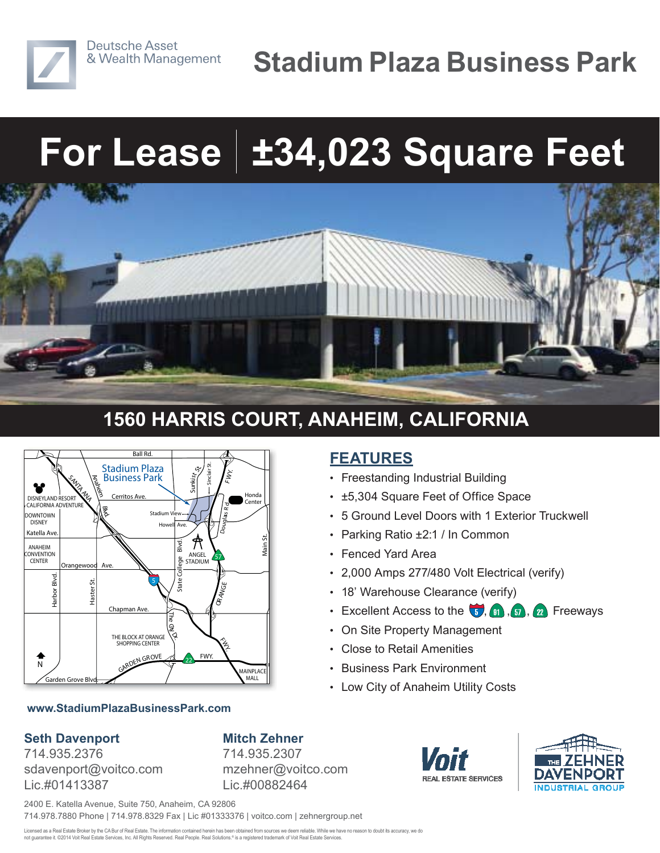

# **For Lease ±34,023 Square Feet**



### **1560 HARRIS COURT, ANAHEIM, CALIFORNIA**

**FEATURES**

• Fenced Yard Area

• Freestanding Industrial Building

• Parking Ratio ±2:1 / In Common

• 18' Warehouse Clearance (verify)

• On Site Property Management

• Low City of Anaheim Utility Costs

• Close to Retail Amenities • Business Park Environment

• ±5,304 Square Feet of Office Space

• 5 Ground Level Doors with 1 Exterior Truckwell

• Excellent Access to the  $\left( \frac{1}{2}, \frac{1}{2}, \frac{1}{2} \right)$ ,  $\left( \frac{1}{2}, \frac{1}{2} \right)$  Freeways

• 2,000 Amps 277/480 Volt Electrical (verify)



#### **www.StadiumPlazaBusinessPark.com**

#### **Seth Davenport**

714.935.2376 sdavenport@voitco.com Lic.#01413387

**Mitch Zehner** 714.935.2307 mzehner@voitco.com Lic.#00882464

**REAL ESTATE SERVICES** 



2400 E. Katella Avenue, Suite 750, Anaheim, CA 92806 714.978.7880 Phone | 714.978.8329 Fax | Lic #01333376 | voitco.com | zehnergroup.net

Licensed as a Real Estate Broker by the CA Bur of Real Estate. The information contained herein has been obtained from sources we deem reliable. While we have no reason to doubt its accuracy, we do not guarantee it. ©2014 Voit Real Estate Services, Inc. All Rights Reserved. Real People. Real Solutions.® is a registered trademark of Voit Real Estate Services.